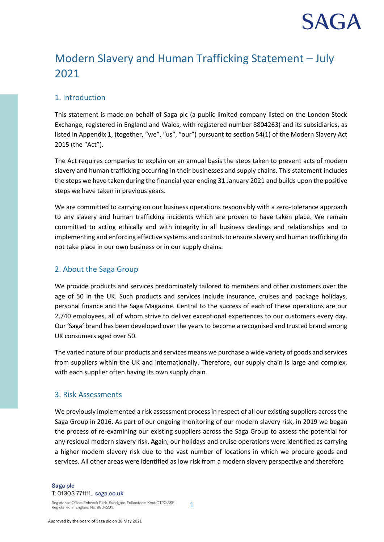# **SAG**

## Modern Slavery and Human Trafficking Statement – July 2021

### 1. Introduction

This statement is made on behalf of Saga plc (a public limited company listed on the London Stock Exchange, registered in England and Wales, with registered number 8804263) and its subsidiaries, as listed in Appendix 1, (together, "we", "us", "our") pursuant to section 54(1) of the Modern Slavery Act 2015 (the "Act").

The Act requires companies to explain on an annual basis the steps taken to prevent acts of modern slavery and human trafficking occurring in their businesses and supply chains. This statement includes the steps we have taken during the financial year ending 31 January 2021 and builds upon the positive steps we have taken in previous years.

We are committed to carrying on our business operations responsibly with a zero-tolerance approach to any slavery and human trafficking incidents which are proven to have taken place. We remain committed to acting ethically and with integrity in all business dealings and relationships and to implementing and enforcing effective systems and controls to ensure slavery and human trafficking do not take place in our own business or in our supply chains.

### 2. About the Saga Group

We provide products and services predominately tailored to members and other customers over the age of 50 in the UK. Such products and services include insurance, cruises and package holidays, personal finance and the Saga Magazine. Central to the success of each of these operations are our 2,740 employees, all of whom strive to deliver exceptional experiences to our customers every day. Our 'Saga' brand has been developed over the years to become a recognised and trusted brand among UK consumers aged over 50.

The varied nature of our products and services means we purchase a wide variety of goods and services from suppliers within the UK and internationally. Therefore, our supply chain is large and complex, with each supplier often having its own supply chain.

#### 3. Risk Assessments

We previously implemented a risk assessment process in respect of all our existing suppliers across the Saga Group in 2016. As part of our ongoing monitoring of our modern slavery risk, in 2019 we began the process of re-examining our existing suppliers across the Saga Group to assess the potential for any residual modern slavery risk. Again, our holidays and cruise operations were identified as carrying a higher modern slavery risk due to the vast number of locations in which we procure goods and services. All other areas were identified as low risk from a modern slavery perspective and therefore

Registered Office: Enbrook Park, Sandgate, Folkestone, Kent CT20 3SE. Registered in England No. 8804263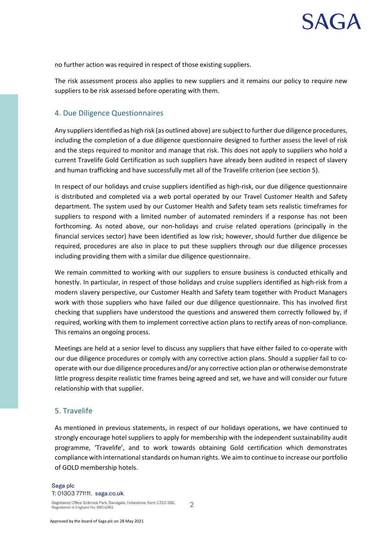# **SAG**

no further action was required in respect of those existing suppliers.

The risk assessment process also applies to new suppliers and it remains our policy to require new suppliers to be risk assessed before operating with them.

#### 4. Due Diligence Questionnaires

Any suppliers identified as high risk (as outlined above) are subject to further due diligence procedures, including the completion of a due diligence questionnaire designed to further assess the level of risk and the steps required to monitor and manage that risk. This does not apply to suppliers who hold a current Travelife Gold Certification as such suppliers have already been audited in respect of slavery and human trafficking and have successfully met all of the Travelife criterion (see section 5).

In respect of our holidays and cruise suppliers identified as high-risk, our due diligence questionnaire is distributed and completed via a web portal operated by our Travel Customer Health and Safety department. The system used by our Customer Health and Safety team sets realistic timeframes for suppliers to respond with a limited number of automated reminders if a response has not been forthcoming. As noted above, our non-holidays and cruise related operations (principally in the financial services sector) have been identified as low risk; however, should further due diligence be required, procedures are also in place to put these suppliers through our due diligence processes including providing them with a similar due diligence questionnaire.

We remain committed to working with our suppliers to ensure business is conducted ethically and honestly. In particular, in respect of those holidays and cruise suppliers identified as high-risk from a modern slavery perspective, our Customer Health and Safety team together with Product Managers work with those suppliers who have failed our due diligence questionnaire. This has involved first checking that suppliers have understood the questions and answered them correctly followed by, if required, working with them to implement corrective action plans to rectify areas of non-compliance. This remains an ongoing process.

Meetings are held at a senior level to discuss any suppliers that have either failed to co-operate with our due diligence procedures or comply with any corrective action plans. Should a supplier fail to cooperate with our due diligence procedures and/or any corrective action plan or otherwise demonstrate little progress despite realistic time frames being agreed and set, we have and will consider our future relationship with that supplier.

#### 5. Travelife

As mentioned in previous statements, in respect of our holidays operations, we have continued to strongly encourage hotel suppliers to apply for membership with the independent sustainability audit programme, 'Travelife', and to work towards obtaining Gold certification which demonstrates compliance with international standards on human rights. We aim to continue to increase our portfolio of GOLD membership hotels.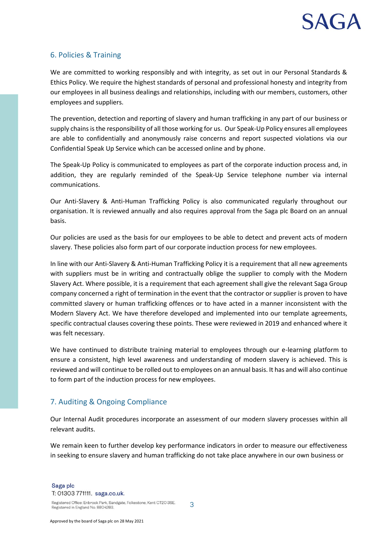### 6. Policies & Training

We are committed to working responsibly and with integrity, as set out in our Personal Standards & Ethics Policy. We require the highest standards of personal and professional honesty and integrity from our employees in all business dealings and relationships, including with our members, customers, other employees and suppliers.

The prevention, detection and reporting of slavery and human trafficking in any part of our business or supply chains is the responsibility of all those working for us. Our Speak-Up Policy ensures all employees are able to confidentially and anonymously raise concerns and report suspected violations via our Confidential Speak Up Service which can be accessed online and by phone.

The Speak-Up Policy is communicated to employees as part of the corporate induction process and, in addition, they are regularly reminded of the Speak-Up Service telephone number via internal communications.

Our Anti-Slavery & Anti-Human Trafficking Policy is also communicated regularly throughout our organisation. It is reviewed annually and also requires approval from the Saga plc Board on an annual basis.

Our policies are used as the basis for our employees to be able to detect and prevent acts of modern slavery. These policies also form part of our corporate induction process for new employees.

In line with our Anti-Slavery & Anti-Human Trafficking Policy it is a requirement that all new agreements with suppliers must be in writing and contractually oblige the supplier to comply with the Modern Slavery Act. Where possible, it is a requirement that each agreement shall give the relevant Saga Group company concerned a right of termination in the event that the contractor or supplier is proven to have committed slavery or human trafficking offences or to have acted in a manner inconsistent with the Modern Slavery Act. We have therefore developed and implemented into our template agreements, specific contractual clauses covering these points. These were reviewed in 2019 and enhanced where it was felt necessary.

We have continued to distribute training material to employees through our e-learning platform to ensure a consistent, high level awareness and understanding of modern slavery is achieved. This is reviewed and will continue to be rolled out to employees on an annual basis. It has and will also continue to form part of the induction process for new employees.

### 7. Auditing & Ongoing Compliance

Our Internal Audit procedures incorporate an assessment of our modern slavery processes within all relevant audits.

We remain keen to further develop key performance indicators in order to measure our effectiveness in seeking to ensure slavery and human trafficking do not take place anywhere in our own business or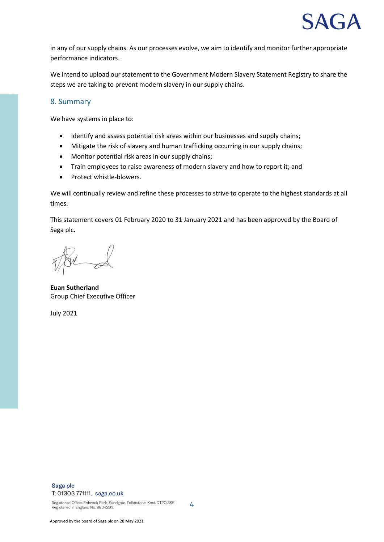

in any of our supply chains. As our processes evolve, we aim to identify and monitor further appropriate performance indicators.

We intend to upload our statement to the Government Modern Slavery Statement Registry to share the steps we are taking to prevent modern slavery in our supply chains.

#### 8. Summary

We have systems in place to:

- Identify and assess potential risk areas within our businesses and supply chains;
- Mitigate the risk of slavery and human trafficking occurring in our supply chains;
- Monitor potential risk areas in our supply chains;
- Train employees to raise awareness of modern slavery and how to report it; and
- Protect whistle-blowers.

We will continually review and refine these processes to strive to operate to the highest standards at all times.

This statement covers 01 February 2020 to 31 January 2021 and has been approved by the Board of Saga plc.

4

**Euan Sutherland** Group Chief Executive Officer

July 2021

#### Saga plc T: 01303 771111. saga.co.uk.

Registered Office: Enbrook Park, Sandgate, Folkestone, Kent CT20 3SE. Registered in England No. 8804263.